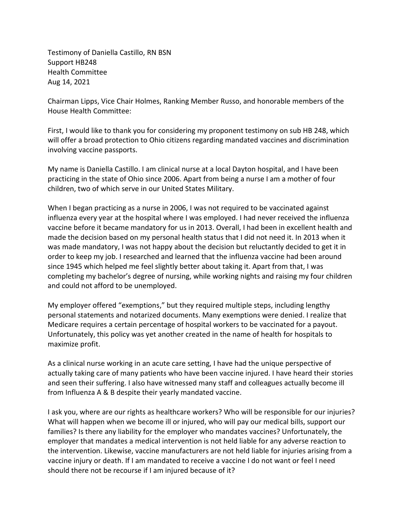Testimony of Daniella Castillo, RN BSN Support HB248 Health Committee Aug 14, 2021

Chairman Lipps, Vice Chair Holmes, Ranking Member Russo, and honorable members of the House Health Committee:

First, I would like to thank you for considering my proponent testimony on sub HB 248, which will offer a broad protection to Ohio citizens regarding mandated vaccines and discrimination involving vaccine passports.

My name is Daniella Castillo. I am clinical nurse at a local Dayton hospital, and I have been practicing in the state of Ohio since 2006. Apart from being a nurse I am a mother of four children, two of which serve in our United States Military.

When I began practicing as a nurse in 2006, I was not required to be vaccinated against influenza every year at the hospital where I was employed. I had never received the influenza vaccine before it became mandatory for us in 2013. Overall, I had been in excellent health and made the decision based on my personal health status that I did not need it. In 2013 when it was made mandatory, I was not happy about the decision but reluctantly decided to get it in order to keep my job. I researched and learned that the influenza vaccine had been around since 1945 which helped me feel slightly better about taking it. Apart from that, I was completing my bachelor's degree of nursing, while working nights and raising my four children and could not afford to be unemployed.

My employer offered "exemptions," but they required multiple steps, including lengthy personal statements and notarized documents. Many exemptions were denied. I realize that Medicare requires a certain percentage of hospital workers to be vaccinated for a payout. Unfortunately, this policy was yet another created in the name of health for hospitals to maximize profit.

As a clinical nurse working in an acute care setting, I have had the unique perspective of actually taking care of many patients who have been vaccine injured. I have heard their stories and seen their suffering. I also have witnessed many staff and colleagues actually become ill from Influenza A & B despite their yearly mandated vaccine.

I ask you, where are our rights as healthcare workers? Who will be responsible for our injuries? What will happen when we become ill or injured, who will pay our medical bills, support our families? Is there any liability for the employer who mandates vaccines? Unfortunately, the employer that mandates a medical intervention is not held liable for any adverse reaction to the intervention. Likewise, vaccine manufacturers are not held liable for injuries arising from a vaccine injury or death. If I am mandated to receive a vaccine I do not want or feel I need should there not be recourse if I am injured because of it?